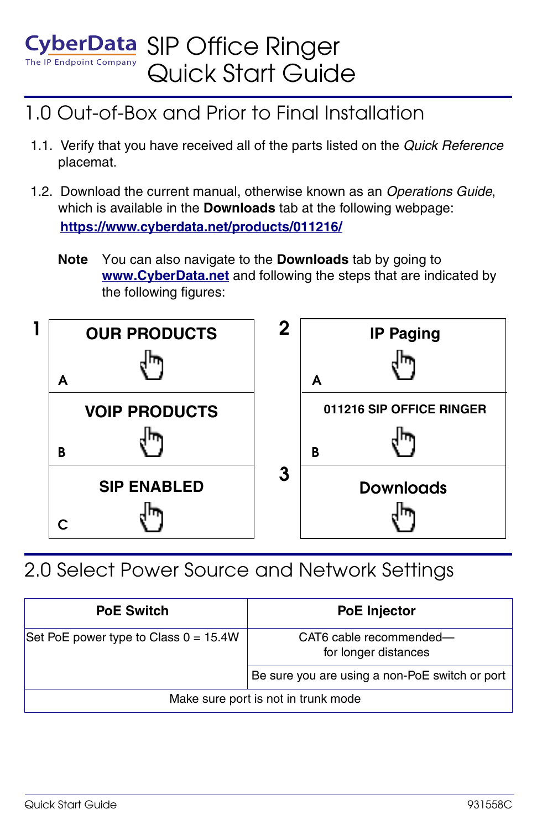#### The IP Endpoint Company CyberData SIP Office Ringer Quick Start Guide

# 1.0 Out-of-Box and Prior to Final Installation

- 1.1. Verify that you have received all of the parts listed on the *Quick Reference* placemat.
- 1.2. Download the current manual, otherwise known as an *Operations Guide*, which is available in the **Downloads** tab at the following webpage: **<https://www.cyberdata.net/products/011216/>**
	- **Note** You can also navigate to the **Downloads** tab by going to **[www.CyberData.net](https://www.cyberdata.net/)** and following the steps that are indicated by the following figures:



# 2.0 Select Power Source and Network Settings

| <b>PoE Switch</b>                       | <b>PoE</b> Injector                             |
|-----------------------------------------|-------------------------------------------------|
| Set PoE power type to Class $0 = 15.4W$ | CAT6 cable recommended-<br>for longer distances |
|                                         | Be sure you are using a non-PoE switch or port  |
| Make sure port is not in trunk mode     |                                                 |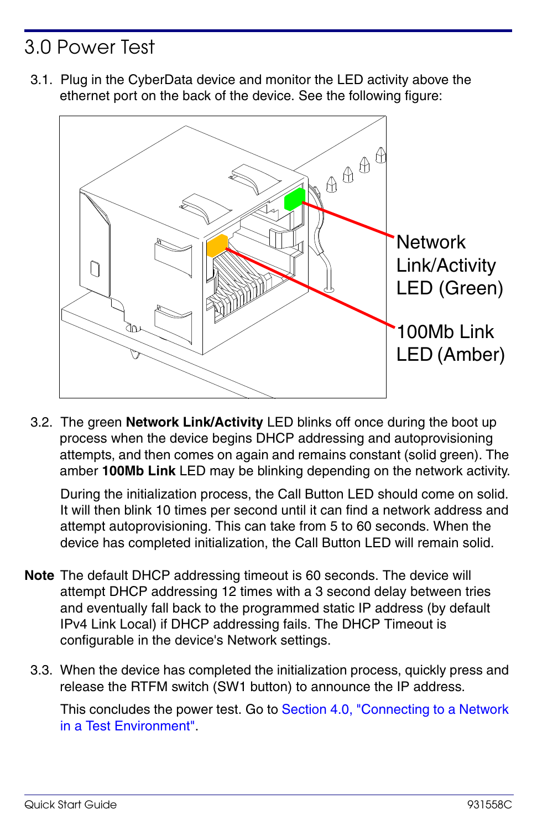# 3.0 Power Test

3.1. Plug in the CyberData device and monitor the LED activity above the ethernet port on the back of the device. See the following figure:



3.2. The green **Network Link/Activity** LED blinks off once during the boot up process when the device begins DHCP addressing and autoprovisioning attempts, and then comes on again and remains constant (solid green). The amber **100Mb Link** LED may be blinking depending on the network activity.

During the initialization process, the Call Button LED should come on solid. It will then blink 10 times per second until it can find a network address and attempt autoprovisioning. This can take from 5 to 60 seconds. When the device has completed initialization, the Call Button LED will remain solid.

- **Note** The default DHCP addressing timeout is 60 seconds. The device will attempt DHCP addressing 12 times with a 3 second delay between tries and eventually fall back to the programmed static IP address (by default IPv4 Link Local) if DHCP addressing fails. The DHCP Timeout is configurable in the device's Network settings.
	- 3.3. When the device has completed the initialization process, quickly press and release the RTFM switch (SW1 button) to announce the IP address.

This concludes the power test. Go to [Section 4.0, "Connecting to a Network](#page-2-0)  [in a Test Environment".](#page-2-0)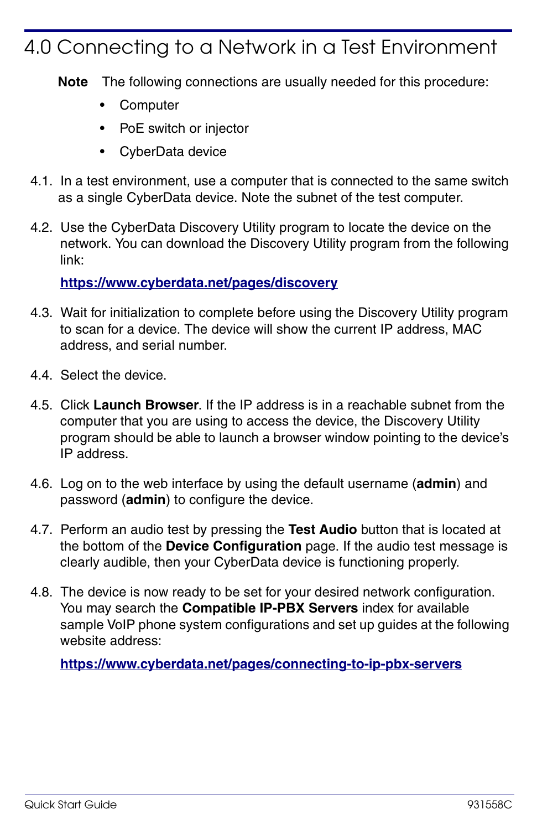# <span id="page-2-0"></span>4.0 Connecting to a Network in a Test Environment

**Note** The following connections are usually needed for this procedure:

- **Computer**
- PoE switch or injector
- CyberData device
- 4.1. In a test environment, use a computer that is connected to the same switch as a single CyberData device. Note the subnet of the test computer.
- 4.2. Use the CyberData Discovery Utility program to locate the device on the network. You can download the Discovery Utility program from the following link:

**<https://www.cyberdata.net/pages/discovery>**

- 4.3. Wait for initialization to complete before using the Discovery Utility program to scan for a device. The device will show the current IP address, MAC address, and serial number.
- 4.4. Select the device.
- 4.5. Click **Launch Browser**. If the IP address is in a reachable subnet from the computer that you are using to access the device, the Discovery Utility program should be able to launch a browser window pointing to the device's IP address.
- 4.6. Log on to the web interface by using the default username (**admin**) and password (**admin**) to configure the device.
- 4.7. Perform an audio test by pressing the **Test Audio** button that is located at the bottom of the **Device Configuration** page. If the audio test message is clearly audible, then your CyberData device is functioning properly.
- 4.8. The device is now ready to be set for your desired network configuration. You may search the **Compatible IP-PBX Servers** index for available sample VoIP phone system configurations and set up guides at the following website address:

**<https://www.cyberdata.net/pages/connecting-to-ip-pbx-servers>**